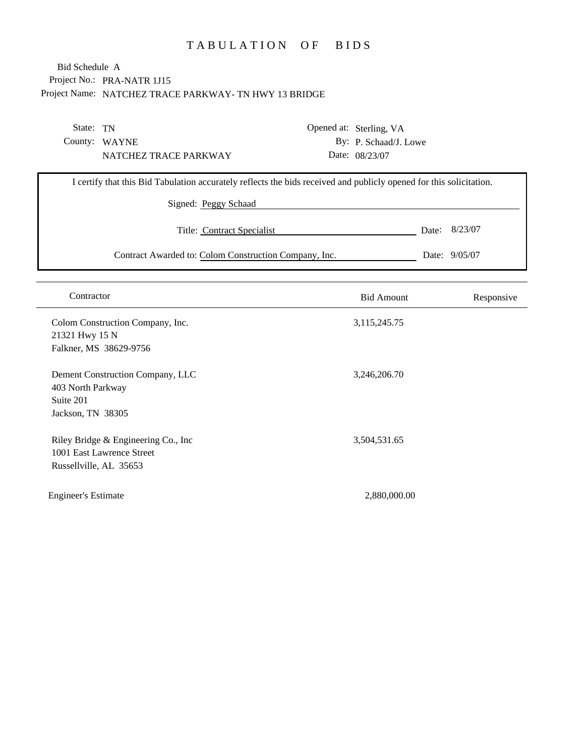# TABULATION OF BIDS

### Project No.: PRA-NATR 1J15 Project Name: NATCHEZ TRACE PARKWAY- TN HWY 13 BRIDGE Bid Schedule A

| State: TN                                                                                   |                                                                                                                                                                           | Opened at: Sterling, VA |               |
|---------------------------------------------------------------------------------------------|---------------------------------------------------------------------------------------------------------------------------------------------------------------------------|-------------------------|---------------|
| County: WAYNE                                                                               |                                                                                                                                                                           | By: P. Schaad/J. Lowe   |               |
| NATCHEZ TRACE PARKWAY                                                                       |                                                                                                                                                                           | Date: 08/23/07          |               |
|                                                                                             | I certify that this Bid Tabulation accurately reflects the bids received and publicly opened for this solicitation.<br>Signed: Peggy Schaad<br>Title: Contract Specialist | Date:                   | 8/23/07       |
|                                                                                             | Contract Awarded to: Colom Construction Company, Inc.                                                                                                                     |                         | Date: 9/05/07 |
|                                                                                             |                                                                                                                                                                           |                         |               |
| Contractor                                                                                  |                                                                                                                                                                           | <b>Bid Amount</b>       | Responsive    |
| Colom Construction Company, Inc.<br>21321 Hwy 15 N<br>Falkner, MS 38629-9756                |                                                                                                                                                                           | 3,115,245.75            |               |
| Dement Construction Company, LLC<br>403 North Parkway<br>Suite 201<br>Jackson, TN 38305     |                                                                                                                                                                           | 3,246,206.70            |               |
| Riley Bridge & Engineering Co., Inc.<br>1001 East Lawrence Street<br>Russellville, AL 35653 |                                                                                                                                                                           | 3,504,531.65            |               |
| <b>Engineer's Estimate</b>                                                                  |                                                                                                                                                                           | 2,880,000.00            |               |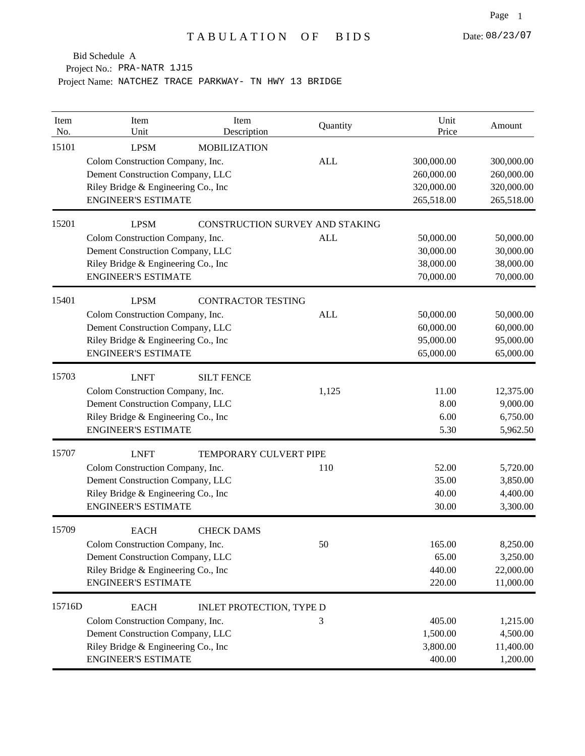Project No.: PRA-NATR 1J15

| Item<br>No. | Item<br>Unit                                                                                                                                              | Item<br>Description                    | Quantity   | Unit<br>Price                                        | Amount                                               |
|-------------|-----------------------------------------------------------------------------------------------------------------------------------------------------------|----------------------------------------|------------|------------------------------------------------------|------------------------------------------------------|
| 15101       | <b>LPSM</b><br>Colom Construction Company, Inc.<br>Dement Construction Company, LLC<br>Riley Bridge & Engineering Co., Inc<br><b>ENGINEER'S ESTIMATE</b>  | <b>MOBILIZATION</b>                    | <b>ALL</b> | 300,000.00<br>260,000.00<br>320,000.00<br>265,518.00 | 300,000.00<br>260,000.00<br>320,000.00<br>265,518.00 |
| 15201       | <b>LPSM</b><br>Colom Construction Company, Inc.<br>Dement Construction Company, LLC<br>Riley Bridge & Engineering Co., Inc<br><b>ENGINEER'S ESTIMATE</b>  | <b>CONSTRUCTION SURVEY AND STAKING</b> | <b>ALL</b> | 50,000.00<br>30,000.00<br>38,000.00<br>70,000.00     | 50,000.00<br>30,000.00<br>38,000.00<br>70,000.00     |
| 15401       | <b>LPSM</b><br>Colom Construction Company, Inc.<br>Dement Construction Company, LLC<br>Riley Bridge & Engineering Co., Inc.<br><b>ENGINEER'S ESTIMATE</b> | <b>CONTRACTOR TESTING</b>              | <b>ALL</b> | 50,000.00<br>60,000.00<br>95,000.00<br>65,000.00     | 50,000.00<br>60,000.00<br>95,000.00<br>65,000.00     |
| 15703       | <b>LNFT</b><br>Colom Construction Company, Inc.<br>Dement Construction Company, LLC<br>Riley Bridge & Engineering Co., Inc<br><b>ENGINEER'S ESTIMATE</b>  | <b>SILT FENCE</b>                      | 1,125      | 11.00<br>8.00<br>6.00<br>5.30                        | 12,375.00<br>9,000.00<br>6,750.00<br>5,962.50        |
| 15707       | <b>LNFT</b><br>Colom Construction Company, Inc.<br>Dement Construction Company, LLC<br>Riley Bridge & Engineering Co., Inc<br><b>ENGINEER'S ESTIMATE</b>  | TEMPORARY CULVERT PIPE                 | 110        | 52.00<br>35.00<br>40.00<br>30.00                     | 5,720.00<br>3,850.00<br>4,400.00<br>3,300.00         |
| 15709       | <b>EACH</b><br>Colom Construction Company, Inc.<br>Dement Construction Company, LLC<br>Riley Bridge & Engineering Co., Inc.<br><b>ENGINEER'S ESTIMATE</b> | <b>CHECK DAMS</b>                      | 50         | 165.00<br>65.00<br>440.00<br>220.00                  | 8,250.00<br>3,250.00<br>22,000.00<br>11,000.00       |
| 15716D      | <b>EACH</b><br>Colom Construction Company, Inc.<br>Dement Construction Company, LLC<br>Riley Bridge & Engineering Co., Inc<br><b>ENGINEER'S ESTIMATE</b>  | INLET PROTECTION, TYPE D               | 3          | 405.00<br>1,500.00<br>3,800.00<br>400.00             | 1,215.00<br>4,500.00<br>11,400.00<br>1,200.00        |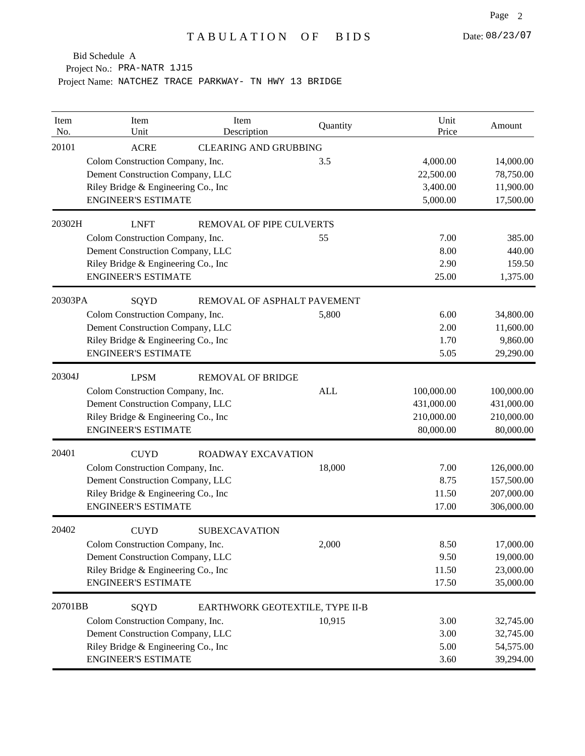Project No.: PRA-NATR 1J15

| Item<br>No. | Item<br>Unit                         | Item<br>Description             | Quantity   | Unit<br>Price | Amount     |
|-------------|--------------------------------------|---------------------------------|------------|---------------|------------|
| 20101       | <b>ACRE</b>                          | <b>CLEARING AND GRUBBING</b>    |            |               |            |
|             | Colom Construction Company, Inc.     |                                 | 3.5        | 4,000.00      | 14,000.00  |
|             | Dement Construction Company, LLC     |                                 |            | 22,500.00     | 78,750.00  |
|             | Riley Bridge & Engineering Co., Inc  |                                 |            | 3,400.00      | 11,900.00  |
|             | <b>ENGINEER'S ESTIMATE</b>           |                                 |            | 5,000.00      | 17,500.00  |
| 20302H      | <b>LNFT</b>                          | <b>REMOVAL OF PIPE CULVERTS</b> |            |               |            |
|             | Colom Construction Company, Inc.     |                                 | 55         | 7.00          | 385.00     |
|             | Dement Construction Company, LLC     |                                 |            | 8.00          | 440.00     |
|             | Riley Bridge & Engineering Co., Inc  |                                 |            | 2.90          | 159.50     |
|             | <b>ENGINEER'S ESTIMATE</b>           |                                 |            | 25.00         | 1,375.00   |
| 20303PA     | SQYD                                 | REMOVAL OF ASPHALT PAVEMENT     |            |               |            |
|             | Colom Construction Company, Inc.     |                                 | 5,800      | 6.00          | 34,800.00  |
|             | Dement Construction Company, LLC     |                                 |            | 2.00          | 11,600.00  |
|             | Riley Bridge & Engineering Co., Inc  |                                 |            | 1.70          | 9,860.00   |
|             | <b>ENGINEER'S ESTIMATE</b>           |                                 |            | 5.05          | 29,290.00  |
| 20304J      | <b>LPSM</b>                          | <b>REMOVAL OF BRIDGE</b>        |            |               |            |
|             | Colom Construction Company, Inc.     |                                 | <b>ALL</b> | 100,000.00    | 100,000.00 |
|             | Dement Construction Company, LLC     |                                 |            | 431,000.00    | 431,000.00 |
|             | Riley Bridge & Engineering Co., Inc  |                                 |            | 210,000.00    | 210,000.00 |
|             | <b>ENGINEER'S ESTIMATE</b>           |                                 |            | 80,000.00     | 80,000.00  |
| 20401       | <b>CUYD</b>                          | <b>ROADWAY EXCAVATION</b>       |            |               |            |
|             | Colom Construction Company, Inc.     |                                 | 18,000     | 7.00          | 126,000.00 |
|             | Dement Construction Company, LLC     |                                 |            | 8.75          | 157,500.00 |
|             | Riley Bridge & Engineering Co., Inc  |                                 |            | 11.50         | 207,000.00 |
|             | <b>ENGINEER'S ESTIMATE</b>           |                                 |            | 17.00         | 306,000.00 |
| 20402       | <b>CUYD</b>                          | <b>SUBEXCAVATION</b>            |            |               |            |
|             | Colom Construction Company, Inc.     |                                 | 2,000      | 8.50          | 17,000.00  |
|             | Dement Construction Company, LLC     |                                 |            | 9.50          | 19,000.00  |
|             | Riley Bridge & Engineering Co., Inc. |                                 |            | 11.50         | 23,000.00  |
|             | <b>ENGINEER'S ESTIMATE</b>           |                                 |            | 17.50         | 35,000.00  |
| 20701BB     | SQYD                                 | EARTHWORK GEOTEXTILE, TYPE II-B |            |               |            |
|             | Colom Construction Company, Inc.     |                                 | 10,915     | 3.00          | 32,745.00  |
|             | Dement Construction Company, LLC     |                                 |            | 3.00          | 32,745.00  |
|             | Riley Bridge & Engineering Co., Inc  |                                 |            | 5.00          | 54,575.00  |
|             | <b>ENGINEER'S ESTIMATE</b>           |                                 |            | 3.60          | 39,294.00  |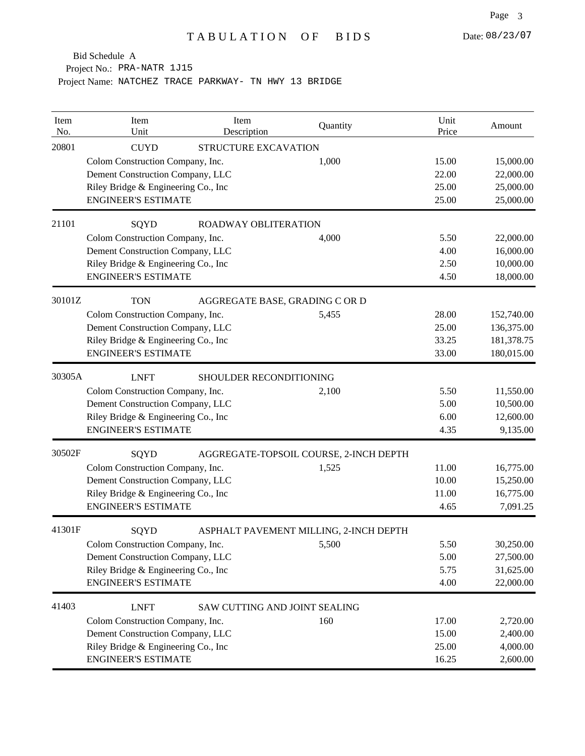Project No.: PRA-NATR 1J15

| Item<br>No. | Item<br>Unit                         | Item<br>Description            | Quantity                               | Unit<br>Price | Amount     |
|-------------|--------------------------------------|--------------------------------|----------------------------------------|---------------|------------|
| 20801       | <b>CUYD</b>                          | STRUCTURE EXCAVATION           |                                        |               |            |
|             | Colom Construction Company, Inc.     |                                | 1,000                                  | 15.00         | 15,000.00  |
|             | Dement Construction Company, LLC     |                                |                                        | 22.00         | 22,000.00  |
|             | Riley Bridge & Engineering Co., Inc  |                                |                                        | 25.00         | 25,000.00  |
|             | <b>ENGINEER'S ESTIMATE</b>           |                                |                                        | 25.00         | 25,000.00  |
| 21101       | SQYD                                 | ROADWAY OBLITERATION           |                                        |               |            |
|             | Colom Construction Company, Inc.     |                                | 4,000                                  | 5.50          | 22,000.00  |
|             | Dement Construction Company, LLC     |                                |                                        | 4.00          | 16,000.00  |
|             | Riley Bridge & Engineering Co., Inc  |                                |                                        | 2.50          | 10,000.00  |
|             | <b>ENGINEER'S ESTIMATE</b>           |                                |                                        | 4.50          | 18,000.00  |
| 30101Z      | <b>TON</b>                           | AGGREGATE BASE, GRADING C OR D |                                        |               |            |
|             | Colom Construction Company, Inc.     |                                | 5,455                                  | 28.00         | 152,740.00 |
|             | Dement Construction Company, LLC     |                                |                                        | 25.00         | 136,375.00 |
|             | Riley Bridge & Engineering Co., Inc  |                                |                                        | 33.25         | 181,378.75 |
|             | <b>ENGINEER'S ESTIMATE</b>           |                                |                                        | 33.00         | 180,015.00 |
| 30305A      | <b>LNFT</b>                          | SHOULDER RECONDITIONING        |                                        |               |            |
|             | Colom Construction Company, Inc.     |                                | 2,100                                  | 5.50          | 11,550.00  |
|             | Dement Construction Company, LLC     |                                |                                        | 5.00          | 10,500.00  |
|             | Riley Bridge & Engineering Co., Inc  |                                |                                        | 6.00          | 12,600.00  |
|             | <b>ENGINEER'S ESTIMATE</b>           |                                |                                        | 4.35          | 9,135.00   |
| 30502F      | SQYD                                 |                                | AGGREGATE-TOPSOIL COURSE, 2-INCH DEPTH |               |            |
|             | Colom Construction Company, Inc.     |                                | 1,525                                  | 11.00         | 16,775.00  |
|             | Dement Construction Company, LLC     |                                |                                        | 10.00         | 15,250.00  |
|             | Riley Bridge & Engineering Co., Inc  |                                |                                        | 11.00         | 16,775.00  |
|             | <b>ENGINEER'S ESTIMATE</b>           |                                |                                        | 4.65          | 7,091.25   |
| 41301F      | SQYD                                 |                                | ASPHALT PAVEMENT MILLING, 2-INCH DEPTH |               |            |
|             | Colom Construction Company, Inc.     |                                | 5,500                                  | 5.50          | 30,250.00  |
|             | Dement Construction Company, LLC     |                                |                                        | 5.00          | 27,500.00  |
|             | Riley Bridge & Engineering Co., Inc. |                                |                                        | 5.75          | 31,625.00  |
|             | <b>ENGINEER'S ESTIMATE</b>           |                                |                                        | 4.00          | 22,000.00  |
| 41403       | <b>LNFT</b>                          | SAW CUTTING AND JOINT SEALING  |                                        |               |            |
|             | Colom Construction Company, Inc.     |                                | 160                                    | 17.00         | 2,720.00   |
|             | Dement Construction Company, LLC     |                                |                                        | 15.00         | 2,400.00   |
|             | Riley Bridge & Engineering Co., Inc  |                                |                                        | 25.00         | 4,000.00   |
|             | <b>ENGINEER'S ESTIMATE</b>           |                                |                                        | 16.25         | 2,600.00   |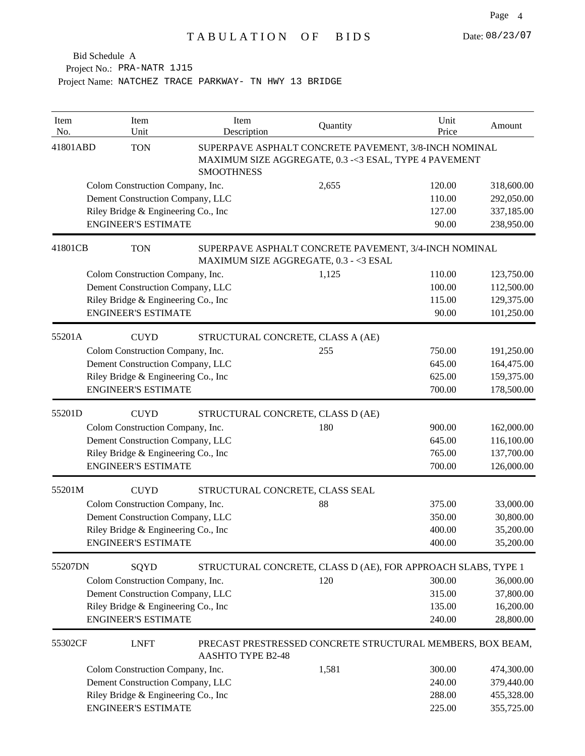| Item<br>No. | Item<br>Unit                        | Item<br>Description      | Quantity                                                                                                        | Unit<br>Price | Amount     |
|-------------|-------------------------------------|--------------------------|-----------------------------------------------------------------------------------------------------------------|---------------|------------|
| 41801ABD    | <b>TON</b>                          | <b>SMOOTHNESS</b>        | SUPERPAVE ASPHALT CONCRETE PAVEMENT, 3/8-INCH NOMINAL<br>MAXIMUM SIZE AGGREGATE, 0.3 -< 3 ESAL, TYPE 4 PAVEMENT |               |            |
|             | Colom Construction Company, Inc.    |                          | 2,655                                                                                                           | 120.00        | 318,600.00 |
|             | Dement Construction Company, LLC    |                          |                                                                                                                 | 110.00        | 292,050.00 |
|             | Riley Bridge & Engineering Co., Inc |                          |                                                                                                                 | 127.00        | 337,185.00 |
|             | <b>ENGINEER'S ESTIMATE</b>          |                          |                                                                                                                 | 90.00         | 238,950.00 |
| 41801CB     | <b>TON</b>                          |                          | SUPERPAVE ASPHALT CONCRETE PAVEMENT, 3/4-INCH NOMINAL<br>MAXIMUM SIZE AGGREGATE, 0.3 - < 3 ESAL                 |               |            |
|             | Colom Construction Company, Inc.    |                          | 1,125                                                                                                           | 110.00        | 123,750.00 |
|             | Dement Construction Company, LLC    |                          |                                                                                                                 | 100.00        | 112,500.00 |
|             | Riley Bridge & Engineering Co., Inc |                          |                                                                                                                 | 115.00        | 129,375.00 |
|             | <b>ENGINEER'S ESTIMATE</b>          |                          |                                                                                                                 | 90.00         | 101,250.00 |
| 55201A      | <b>CUYD</b>                         |                          | STRUCTURAL CONCRETE, CLASS A (AE)                                                                               |               |            |
|             | Colom Construction Company, Inc.    |                          | 255                                                                                                             | 750.00        | 191,250.00 |
|             | Dement Construction Company, LLC    |                          |                                                                                                                 | 645.00        | 164,475.00 |
|             | Riley Bridge & Engineering Co., Inc |                          |                                                                                                                 | 625.00        | 159,375.00 |
|             | <b>ENGINEER'S ESTIMATE</b>          |                          |                                                                                                                 | 700.00        | 178,500.00 |
| 55201D      | <b>CUYD</b>                         |                          | STRUCTURAL CONCRETE, CLASS D (AE)                                                                               |               |            |
|             | Colom Construction Company, Inc.    |                          | 180                                                                                                             | 900.00        | 162,000.00 |
|             | Dement Construction Company, LLC    |                          |                                                                                                                 | 645.00        | 116,100.00 |
|             | Riley Bridge & Engineering Co., Inc |                          |                                                                                                                 | 765.00        | 137,700.00 |
|             | <b>ENGINEER'S ESTIMATE</b>          |                          |                                                                                                                 | 700.00        | 126,000.00 |
| 55201M      | <b>CUYD</b>                         |                          | STRUCTURAL CONCRETE, CLASS SEAL                                                                                 |               |            |
|             | Colom Construction Company, Inc.    |                          | 88                                                                                                              | 375.00        | 33,000.00  |
|             | Dement Construction Company, LLC    |                          |                                                                                                                 | 350.00        | 30,800.00  |
|             | Riley Bridge & Engineering Co., Inc |                          |                                                                                                                 | 400.00        | 35,200.00  |
|             | <b>ENGINEER'S ESTIMATE</b>          |                          |                                                                                                                 | 400.00        | 35,200.00  |
| 55207DN     | SQYD                                |                          | STRUCTURAL CONCRETE, CLASS D (AE), FOR APPROACH SLABS, TYPE 1                                                   |               |            |
|             | Colom Construction Company, Inc.    |                          | 120                                                                                                             | 300.00        | 36,000.00  |
|             | Dement Construction Company, LLC    |                          |                                                                                                                 | 315.00        | 37,800.00  |
|             | Riley Bridge & Engineering Co., Inc |                          |                                                                                                                 | 135.00        | 16,200.00  |
|             | <b>ENGINEER'S ESTIMATE</b>          |                          |                                                                                                                 | 240.00        | 28,800.00  |
| 55302CF     | <b>LNFT</b>                         | <b>AASHTO TYPE B2-48</b> | PRECAST PRESTRESSED CONCRETE STRUCTURAL MEMBERS, BOX BEAM,                                                      |               |            |
|             | Colom Construction Company, Inc.    |                          | 1,581                                                                                                           | 300.00        | 474,300.00 |
|             | Dement Construction Company, LLC    |                          |                                                                                                                 | 240.00        | 379,440.00 |
|             | Riley Bridge & Engineering Co., Inc |                          |                                                                                                                 | 288.00        | 455,328.00 |
|             | <b>ENGINEER'S ESTIMATE</b>          |                          |                                                                                                                 | 225.00        | 355,725.00 |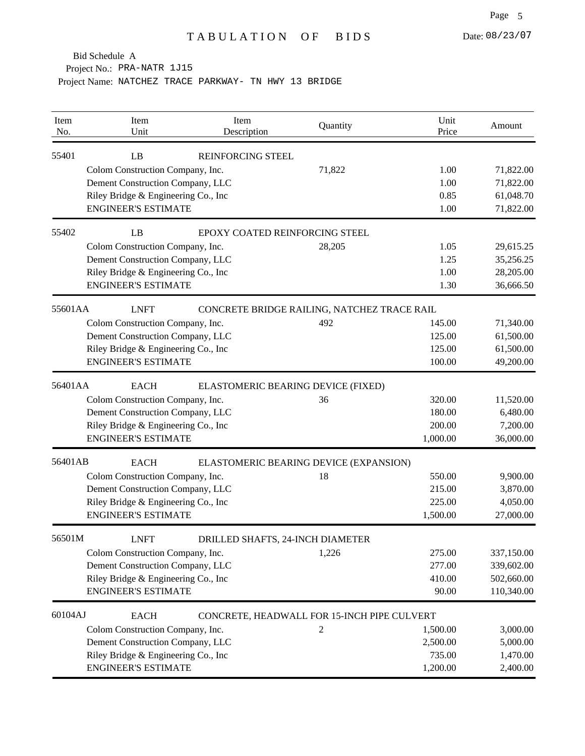Project No.: PRA-NATR 1J15

| Item<br>No. | Item<br>Unit                         | Item<br>Description              | Quantity                                    | Unit<br>Price | Amount     |
|-------------|--------------------------------------|----------------------------------|---------------------------------------------|---------------|------------|
| 55401       | LB                                   | <b>REINFORCING STEEL</b>         |                                             |               |            |
|             | Colom Construction Company, Inc.     |                                  | 71,822                                      | 1.00          | 71,822.00  |
|             | Dement Construction Company, LLC     |                                  |                                             | 1.00          | 71,822.00  |
|             | Riley Bridge & Engineering Co., Inc  |                                  |                                             | 0.85          | 61,048.70  |
|             | <b>ENGINEER'S ESTIMATE</b>           |                                  |                                             | 1.00          | 71,822.00  |
| 55402       | LB                                   | EPOXY COATED REINFORCING STEEL   |                                             |               |            |
|             | Colom Construction Company, Inc.     |                                  | 28,205                                      | 1.05          | 29,615.25  |
|             | Dement Construction Company, LLC     |                                  |                                             | 1.25          | 35,256.25  |
|             | Riley Bridge & Engineering Co., Inc  |                                  |                                             | 1.00          | 28,205.00  |
|             | <b>ENGINEER'S ESTIMATE</b>           |                                  |                                             | 1.30          | 36,666.50  |
| 55601AA     | <b>LNFT</b>                          |                                  | CONCRETE BRIDGE RAILING, NATCHEZ TRACE RAIL |               |            |
|             | Colom Construction Company, Inc.     |                                  | 492                                         | 145.00        | 71,340.00  |
|             | Dement Construction Company, LLC     |                                  |                                             | 125.00        | 61,500.00  |
|             | Riley Bridge & Engineering Co., Inc. |                                  |                                             | 125.00        | 61,500.00  |
|             | <b>ENGINEER'S ESTIMATE</b>           |                                  |                                             | 100.00        | 49,200.00  |
| 56401AA     | <b>EACH</b>                          |                                  | ELASTOMERIC BEARING DEVICE (FIXED)          |               |            |
|             | Colom Construction Company, Inc.     |                                  | 36                                          | 320.00        | 11,520.00  |
|             | Dement Construction Company, LLC     |                                  |                                             | 180.00        | 6,480.00   |
|             | Riley Bridge & Engineering Co., Inc. |                                  |                                             | 200.00        | 7,200.00   |
|             | <b>ENGINEER'S ESTIMATE</b>           |                                  |                                             | 1,000.00      | 36,000.00  |
| 56401AB     | <b>EACH</b>                          |                                  | ELASTOMERIC BEARING DEVICE (EXPANSION)      |               |            |
|             | Colom Construction Company, Inc.     |                                  | 18                                          | 550.00        | 9,900.00   |
|             | Dement Construction Company, LLC     |                                  |                                             | 215.00        | 3,870.00   |
|             | Riley Bridge & Engineering Co., Inc  |                                  |                                             | 225.00        | 4,050.00   |
|             | <b>ENGINEER'S ESTIMATE</b>           |                                  |                                             | 1,500.00      | 27,000.00  |
| 56501M      | <b>LNFT</b>                          | DRILLED SHAFTS, 24-INCH DIAMETER |                                             |               |            |
|             | Colom Construction Company, Inc.     |                                  | 1,226                                       | 275.00        | 337,150.00 |
|             | Dement Construction Company, LLC     |                                  |                                             | 277.00        | 339,602.00 |
|             | Riley Bridge & Engineering Co., Inc  |                                  |                                             | 410.00        | 502,660.00 |
|             | <b>ENGINEER'S ESTIMATE</b>           |                                  |                                             | 90.00         | 110,340.00 |
| 60104AJ     | <b>EACH</b>                          |                                  | CONCRETE, HEADWALL FOR 15-INCH PIPE CULVERT |               |            |
|             | Colom Construction Company, Inc.     |                                  | 2                                           | 1,500.00      | 3,000.00   |
|             | Dement Construction Company, LLC     |                                  |                                             | 2,500.00      | 5,000.00   |
|             | Riley Bridge & Engineering Co., Inc. |                                  |                                             | 735.00        | 1,470.00   |
|             | <b>ENGINEER'S ESTIMATE</b>           |                                  |                                             | 1,200.00      | 2,400.00   |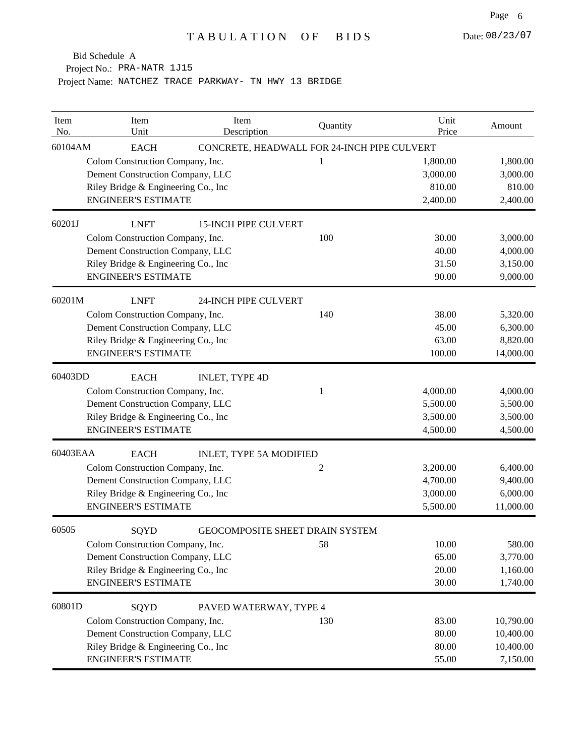Project No.: PRA-NATR 1J15

| Item<br>No. | Item<br>Unit                         | Item<br>Description            | Quantity                                    | Unit<br>Price | Amount    |
|-------------|--------------------------------------|--------------------------------|---------------------------------------------|---------------|-----------|
| 60104AM     | <b>EACH</b>                          |                                | CONCRETE, HEADWALL FOR 24-INCH PIPE CULVERT |               |           |
|             | Colom Construction Company, Inc.     |                                | 1                                           | 1,800.00      | 1,800.00  |
|             | Dement Construction Company, LLC     |                                |                                             | 3,000.00      | 3,000.00  |
|             | Riley Bridge & Engineering Co., Inc. |                                |                                             | 810.00        | 810.00    |
|             | <b>ENGINEER'S ESTIMATE</b>           |                                |                                             | 2,400.00      | 2,400.00  |
| 60201J      | <b>LNFT</b>                          | <b>15-INCH PIPE CULVERT</b>    |                                             |               |           |
|             | Colom Construction Company, Inc.     |                                | 100                                         | 30.00         | 3,000.00  |
|             | Dement Construction Company, LLC     |                                |                                             | 40.00         | 4,000.00  |
|             | Riley Bridge & Engineering Co., Inc  |                                |                                             | 31.50         | 3,150.00  |
|             | <b>ENGINEER'S ESTIMATE</b>           |                                |                                             | 90.00         | 9,000.00  |
| 60201M      | <b>LNFT</b>                          | <b>24-INCH PIPE CULVERT</b>    |                                             |               |           |
|             | Colom Construction Company, Inc.     |                                | 140                                         | 38.00         | 5,320.00  |
|             | Dement Construction Company, LLC     |                                |                                             | 45.00         | 6,300.00  |
|             | Riley Bridge & Engineering Co., Inc. |                                |                                             | 63.00         | 8,820.00  |
|             | <b>ENGINEER'S ESTIMATE</b>           |                                |                                             | 100.00        | 14,000.00 |
| 60403DD     | <b>EACH</b>                          | <b>INLET, TYPE 4D</b>          |                                             |               |           |
|             | Colom Construction Company, Inc.     |                                | 1                                           | 4,000.00      | 4,000.00  |
|             | Dement Construction Company, LLC     |                                |                                             | 5,500.00      | 5,500.00  |
|             | Riley Bridge & Engineering Co., Inc. |                                |                                             | 3,500.00      | 3,500.00  |
|             | <b>ENGINEER'S ESTIMATE</b>           |                                |                                             | 4,500.00      | 4,500.00  |
| 60403EAA    | <b>EACH</b>                          | <b>INLET, TYPE 5A MODIFIED</b> |                                             |               |           |
|             | Colom Construction Company, Inc.     |                                | 2                                           | 3,200.00      | 6,400.00  |
|             | Dement Construction Company, LLC     |                                |                                             | 4,700.00      | 9,400.00  |
|             | Riley Bridge & Engineering Co., Inc  |                                |                                             | 3,000.00      | 6,000.00  |
|             | <b>ENGINEER'S ESTIMATE</b>           |                                |                                             | 5,500.00      | 11,000.00 |
| 60505       | SQYD                                 |                                | GEOCOMPOSITE SHEET DRAIN SYSTEM             |               |           |
|             | Colom Construction Company, Inc.     |                                | 58                                          | 10.00         | 580.00    |
|             | Dement Construction Company, LLC     |                                |                                             | 65.00         | 3,770.00  |
|             | Riley Bridge & Engineering Co., Inc  |                                |                                             | 20.00         | 1,160.00  |
|             | <b>ENGINEER'S ESTIMATE</b>           |                                |                                             | 30.00         | 1,740.00  |
| 60801D      | SQYD                                 | PAVED WATERWAY, TYPE 4         |                                             |               |           |
|             | Colom Construction Company, Inc.     |                                | 130                                         | 83.00         | 10,790.00 |
|             | Dement Construction Company, LLC     |                                |                                             | 80.00         | 10,400.00 |
|             | Riley Bridge & Engineering Co., Inc. |                                |                                             | 80.00         | 10,400.00 |
|             | <b>ENGINEER'S ESTIMATE</b>           |                                |                                             | 55.00         | 7,150.00  |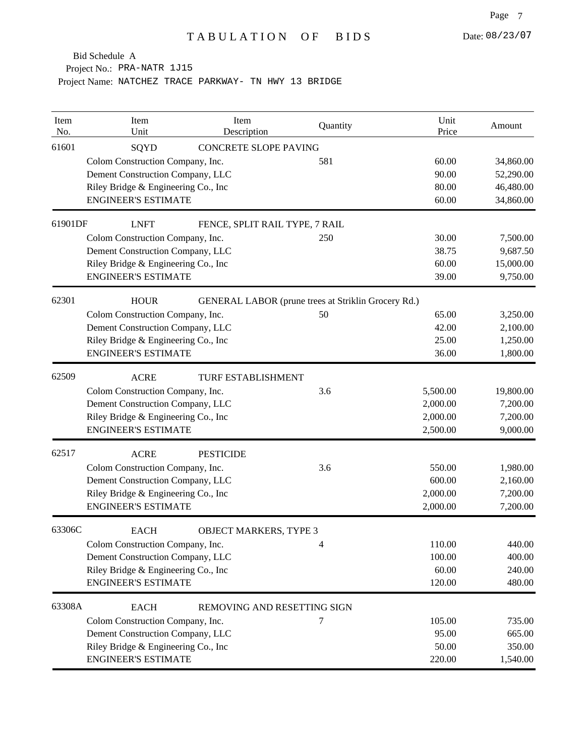Project No.: PRA-NATR 1J15

| Item<br>No. | Item<br>Unit                         | Item<br>Description            | Quantity                                            | Unit<br>Price | Amount    |
|-------------|--------------------------------------|--------------------------------|-----------------------------------------------------|---------------|-----------|
| 61601       | SQYD                                 | <b>CONCRETE SLOPE PAVING</b>   |                                                     |               |           |
|             | Colom Construction Company, Inc.     |                                | 581                                                 | 60.00         | 34,860.00 |
|             | Dement Construction Company, LLC     |                                |                                                     | 90.00         | 52,290.00 |
|             | Riley Bridge & Engineering Co., Inc  |                                |                                                     | 80.00         | 46,480.00 |
|             | <b>ENGINEER'S ESTIMATE</b>           |                                |                                                     | 60.00         | 34,860.00 |
| 61901DF     | <b>LNFT</b>                          | FENCE, SPLIT RAIL TYPE, 7 RAIL |                                                     |               |           |
|             | Colom Construction Company, Inc.     |                                | 250                                                 | 30.00         | 7,500.00  |
|             | Dement Construction Company, LLC     |                                |                                                     | 38.75         | 9,687.50  |
|             | Riley Bridge & Engineering Co., Inc  |                                |                                                     | 60.00         | 15,000.00 |
|             | <b>ENGINEER'S ESTIMATE</b>           |                                |                                                     | 39.00         | 9,750.00  |
| 62301       | <b>HOUR</b>                          |                                | GENERAL LABOR (prune trees at Striklin Grocery Rd.) |               |           |
|             | Colom Construction Company, Inc.     |                                | 50                                                  | 65.00         | 3,250.00  |
|             | Dement Construction Company, LLC     |                                |                                                     | 42.00         | 2,100.00  |
|             | Riley Bridge & Engineering Co., Inc  |                                |                                                     | 25.00         | 1,250.00  |
|             | <b>ENGINEER'S ESTIMATE</b>           |                                |                                                     | 36.00         | 1,800.00  |
| 62509       | <b>ACRE</b>                          | TURF ESTABLISHMENT             |                                                     |               |           |
|             | Colom Construction Company, Inc.     |                                | 3.6                                                 | 5,500.00      | 19,800.00 |
|             | Dement Construction Company, LLC     |                                |                                                     | 2,000.00      | 7,200.00  |
|             | Riley Bridge & Engineering Co., Inc  |                                |                                                     | 2,000.00      | 7,200.00  |
|             | <b>ENGINEER'S ESTIMATE</b>           |                                |                                                     | 2,500.00      | 9,000.00  |
| 62517       | <b>ACRE</b>                          | <b>PESTICIDE</b>               |                                                     |               |           |
|             | Colom Construction Company, Inc.     |                                | 3.6                                                 | 550.00        | 1,980.00  |
|             | Dement Construction Company, LLC     |                                |                                                     | 600.00        | 2,160.00  |
|             | Riley Bridge & Engineering Co., Inc  |                                |                                                     | 2,000.00      | 7,200.00  |
|             | <b>ENGINEER'S ESTIMATE</b>           |                                |                                                     | 2,000.00      | 7,200.00  |
| 63306C      | <b>EACH</b>                          | <b>OBJECT MARKERS, TYPE 3</b>  |                                                     |               |           |
|             | Colom Construction Company, Inc.     |                                | 4                                                   | 110.00        | 440.00    |
|             | Dement Construction Company, LLC     |                                |                                                     | 100.00        | 400.00    |
|             | Riley Bridge & Engineering Co., Inc. |                                |                                                     | 60.00         | 240.00    |
|             | <b>ENGINEER'S ESTIMATE</b>           |                                |                                                     | 120.00        | 480.00    |
| 63308A      | <b>EACH</b>                          | REMOVING AND RESETTING SIGN    |                                                     |               |           |
|             | Colom Construction Company, Inc.     |                                | 7                                                   | 105.00        | 735.00    |
|             | Dement Construction Company, LLC     |                                |                                                     | 95.00         | 665.00    |
|             | Riley Bridge & Engineering Co., Inc  |                                |                                                     | 50.00         | 350.00    |
|             | <b>ENGINEER'S ESTIMATE</b>           |                                |                                                     | 220.00        | 1,540.00  |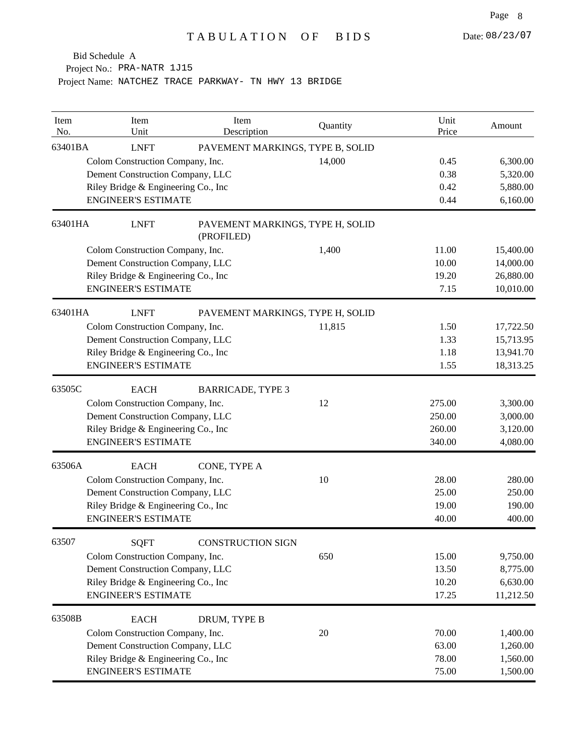Project No.: PRA-NATR 1J15

| Item<br>No. | Item<br>Unit                         | Item<br>Description                            | Quantity | Unit<br>Price | Amount    |
|-------------|--------------------------------------|------------------------------------------------|----------|---------------|-----------|
| 63401BA     | <b>LNFT</b>                          | PAVEMENT MARKINGS, TYPE B, SOLID               |          |               |           |
|             | Colom Construction Company, Inc.     |                                                | 14,000   | 0.45          | 6,300.00  |
|             | Dement Construction Company, LLC     |                                                |          | 0.38          | 5,320.00  |
|             | Riley Bridge & Engineering Co., Inc  |                                                |          | 0.42          | 5,880.00  |
|             | <b>ENGINEER'S ESTIMATE</b>           |                                                |          | 0.44          | 6,160.00  |
| 63401HA     | <b>LNFT</b>                          | PAVEMENT MARKINGS, TYPE H, SOLID<br>(PROFILED) |          |               |           |
|             | Colom Construction Company, Inc.     |                                                | 1,400    | 11.00         | 15,400.00 |
|             | Dement Construction Company, LLC     |                                                |          | 10.00         | 14,000.00 |
|             | Riley Bridge & Engineering Co., Inc  |                                                |          | 19.20         | 26,880.00 |
|             | <b>ENGINEER'S ESTIMATE</b>           |                                                |          | 7.15          | 10,010.00 |
| 63401HA     | <b>LNFT</b>                          | PAVEMENT MARKINGS, TYPE H, SOLID               |          |               |           |
|             | Colom Construction Company, Inc.     |                                                | 11,815   | 1.50          | 17,722.50 |
|             | Dement Construction Company, LLC     |                                                |          | 1.33          | 15,713.95 |
|             | Riley Bridge & Engineering Co., Inc  |                                                |          | 1.18          | 13,941.70 |
|             | <b>ENGINEER'S ESTIMATE</b>           |                                                |          | 1.55          | 18,313.25 |
| 63505C      | <b>EACH</b>                          | <b>BARRICADE, TYPE 3</b>                       |          |               |           |
|             | Colom Construction Company, Inc.     |                                                | 12       | 275.00        | 3,300.00  |
|             | Dement Construction Company, LLC     |                                                |          | 250.00        | 3,000.00  |
|             | Riley Bridge & Engineering Co., Inc  |                                                |          | 260.00        | 3,120.00  |
|             | <b>ENGINEER'S ESTIMATE</b>           |                                                |          | 340.00        | 4,080.00  |
| 63506A      | <b>EACH</b>                          | CONE, TYPE A                                   |          |               |           |
|             | Colom Construction Company, Inc.     |                                                | 10       | 28.00         | 280.00    |
|             | Dement Construction Company, LLC     |                                                |          | 25.00         | 250.00    |
|             | Riley Bridge & Engineering Co., Inc  |                                                |          | 19.00         | 190.00    |
|             | <b>ENGINEER'S ESTIMATE</b>           |                                                |          | 40.00         | 400.00    |
| 63507       | SQFT                                 | <b>CONSTRUCTION SIGN</b>                       |          |               |           |
|             | Colom Construction Company, Inc.     |                                                | 650      | 15.00         | 9,750.00  |
|             | Dement Construction Company, LLC     |                                                |          | 13.50         | 8,775.00  |
|             | Riley Bridge & Engineering Co., Inc. |                                                |          | 10.20         | 6,630.00  |
|             | <b>ENGINEER'S ESTIMATE</b>           |                                                |          | 17.25         | 11,212.50 |
| 63508B      | <b>EACH</b>                          | DRUM, TYPE B                                   |          |               |           |
|             | Colom Construction Company, Inc.     |                                                | 20       | 70.00         | 1,400.00  |
|             | Dement Construction Company, LLC     |                                                |          | 63.00         | 1,260.00  |
|             | Riley Bridge & Engineering Co., Inc  |                                                |          | 78.00         | 1,560.00  |
|             | <b>ENGINEER'S ESTIMATE</b>           |                                                |          | 75.00         | 1,500.00  |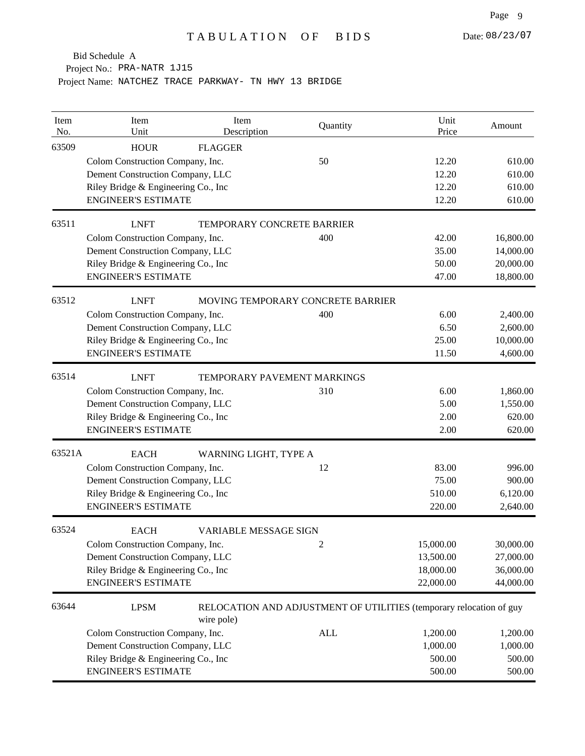Project No.: PRA-NATR 1J15

| Item<br>No. | Item<br>Unit                         | Item<br>Description          | Quantity                                                            | Unit<br>Price | Amount    |
|-------------|--------------------------------------|------------------------------|---------------------------------------------------------------------|---------------|-----------|
| 63509       | <b>HOUR</b>                          | <b>FLAGGER</b>               |                                                                     |               |           |
|             | Colom Construction Company, Inc.     |                              | 50                                                                  | 12.20         | 610.00    |
|             | Dement Construction Company, LLC     |                              |                                                                     | 12.20         | 610.00    |
|             | Riley Bridge & Engineering Co., Inc. |                              |                                                                     | 12.20         | 610.00    |
|             | <b>ENGINEER'S ESTIMATE</b>           |                              |                                                                     | 12.20         | 610.00    |
| 63511       | <b>LNFT</b>                          | TEMPORARY CONCRETE BARRIER   |                                                                     |               |           |
|             | Colom Construction Company, Inc.     |                              | 400                                                                 | 42.00         | 16,800.00 |
|             | Dement Construction Company, LLC     |                              |                                                                     | 35.00         | 14,000.00 |
|             | Riley Bridge & Engineering Co., Inc. |                              |                                                                     | 50.00         | 20,000.00 |
|             | <b>ENGINEER'S ESTIMATE</b>           |                              |                                                                     | 47.00         | 18,800.00 |
| 63512       | <b>LNFT</b>                          |                              | MOVING TEMPORARY CONCRETE BARRIER                                   |               |           |
|             | Colom Construction Company, Inc.     |                              | 400                                                                 | 6.00          | 2,400.00  |
|             | Dement Construction Company, LLC     |                              |                                                                     | 6.50          | 2,600.00  |
|             | Riley Bridge & Engineering Co., Inc. |                              |                                                                     | 25.00         | 10,000.00 |
|             | <b>ENGINEER'S ESTIMATE</b>           |                              |                                                                     | 11.50         | 4,600.00  |
| 63514       | <b>LNFT</b>                          | TEMPORARY PAVEMENT MARKINGS  |                                                                     |               |           |
|             | Colom Construction Company, Inc.     |                              | 310                                                                 | 6.00          | 1,860.00  |
|             | Dement Construction Company, LLC     |                              |                                                                     | 5.00          | 1,550.00  |
|             | Riley Bridge & Engineering Co., Inc  |                              |                                                                     | 2.00          | 620.00    |
|             | <b>ENGINEER'S ESTIMATE</b>           |                              |                                                                     | 2.00          | 620.00    |
| 63521A      | <b>EACH</b>                          | WARNING LIGHT, TYPE A        |                                                                     |               |           |
|             | Colom Construction Company, Inc.     |                              | 12                                                                  | 83.00         | 996.00    |
|             | Dement Construction Company, LLC     |                              |                                                                     | 75.00         | 900.00    |
|             | Riley Bridge & Engineering Co., Inc. |                              |                                                                     | 510.00        | 6,120.00  |
|             | <b>ENGINEER'S ESTIMATE</b>           |                              |                                                                     | 220.00        | 2,640.00  |
| 63524       | <b>EACH</b>                          | <b>VARIABLE MESSAGE SIGN</b> |                                                                     |               |           |
|             | Colom Construction Company, Inc.     |                              | 2                                                                   | 15,000.00     | 30,000.00 |
|             | Dement Construction Company, LLC     |                              |                                                                     | 13,500.00     | 27,000.00 |
|             | Riley Bridge & Engineering Co., Inc  |                              |                                                                     | 18,000.00     | 36,000.00 |
|             | <b>ENGINEER'S ESTIMATE</b>           |                              |                                                                     | 22,000.00     | 44,000.00 |
| 63644       | <b>LPSM</b>                          | wire pole)                   | RELOCATION AND ADJUSTMENT OF UTILITIES (temporary relocation of guy |               |           |
|             | Colom Construction Company, Inc.     |                              | <b>ALL</b>                                                          | 1,200.00      | 1,200.00  |
|             | Dement Construction Company, LLC     |                              |                                                                     | 1,000.00      | 1,000.00  |
|             | Riley Bridge & Engineering Co., Inc  |                              |                                                                     | 500.00        | 500.00    |
|             | <b>ENGINEER'S ESTIMATE</b>           |                              |                                                                     | 500.00        | 500.00    |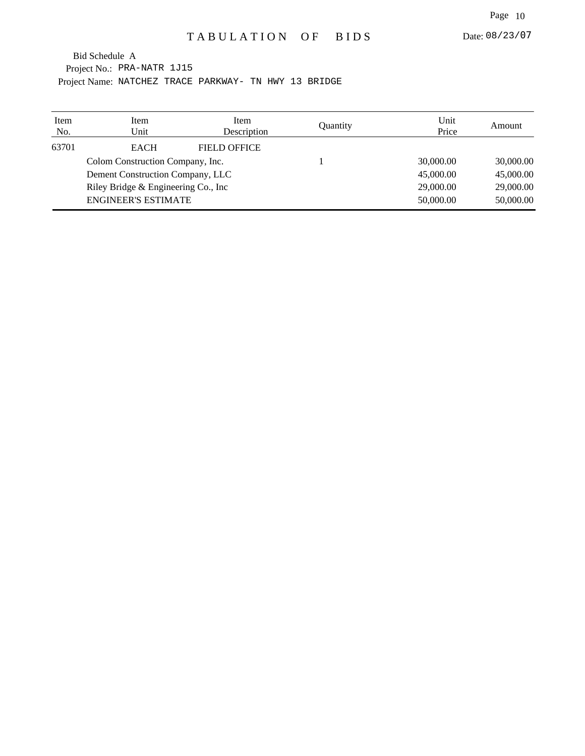Project No.: PRA-NATR 1J15 Project Name: NATCHEZ TRACE PARKWAY- TN HWY 13 BRIDGE Bid Schedule A

| Item<br>No. | Item<br>Unit                         | Item<br>Description | Quantity | Unit<br>Price | Amount    |
|-------------|--------------------------------------|---------------------|----------|---------------|-----------|
| 63701       | <b>EACH</b>                          | <b>FIELD OFFICE</b> |          |               |           |
|             | Colom Construction Company, Inc.     |                     |          | 30,000.00     | 30,000.00 |
|             | Dement Construction Company, LLC     |                     |          | 45,000.00     | 45,000.00 |
|             | Riley Bridge & Engineering Co., Inc. |                     |          | 29,000.00     | 29,000.00 |
|             | <b>ENGINEER'S ESTIMATE</b>           |                     |          | 50,000.00     | 50,000.00 |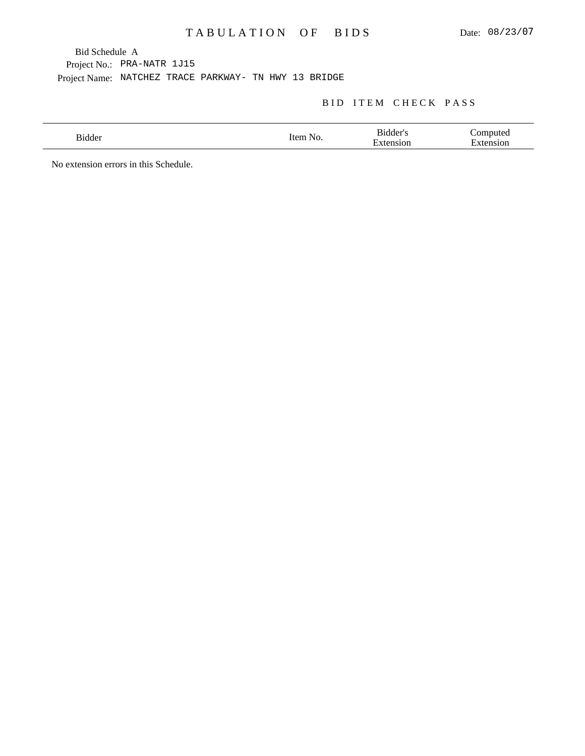## TABULATION OF BIDS

Bid Schedule A

Project No.: PRA-NATR 1J15

Project Name: NATCHEZ TRACE PARKWAY- TN HWY 13 BRIDGE

#### BID ITEM CHECK PASS

| $\sim$<br>.100e <sup>r</sup><br>------ | tΔn<br>N.<br>$\sim$ | – Bidder'<br>$\overline{\phantom{0}}$<br>or | ----- |
|----------------------------------------|---------------------|---------------------------------------------|-------|
|                                        |                     |                                             |       |

No extension errors in this Schedule.